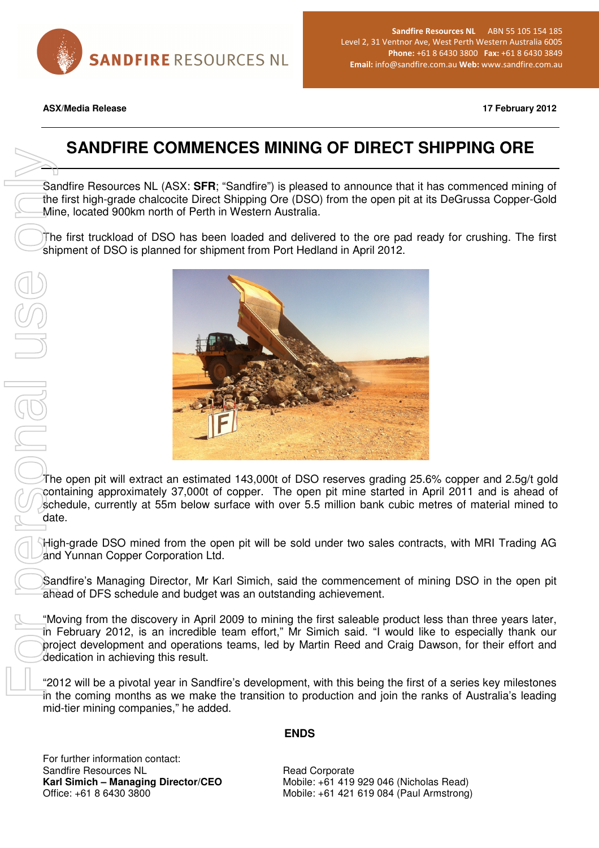

Sandfire Resources NL ABN 55 105 154 185 Level 2, 31 Ventnor Ave, West Perth Western Australia 6005 Phone: +61 8 6430 3800 Fax: +61 8 6430 3849 Email: info@sandfire.com.au Web: www.sandfire.com.au

**ASX/Media Release 17 February 2012** 

# **SANDFIRE COMMENCES MINING OF DIRECT SHIPPING ORE**

Sandfire Resources NL (ASX: **SFR**; "Sandfire") is pleased to announce that it has commenced mining of the first high-grade chalcocite Direct Shipping Ore (DSO) from the open pit at its DeGrussa Copper-Gold Mine, located 900km north of Perth in Western Australia.

The first truckload of DSO has been loaded and delivered to the ore pad ready for crushing. The first shipment of DSO is planned for shipment from Port Hedland in April 2012.



The open pit will extract an estimated 143,000t of DSO reserves grading 25.6% copper and 2.5g/t gold containing approximately 37,000t of copper. The open pit mine started in April 2011 and is ahead of schedule, currently at 55m below surface with over 5.5 million bank cubic metres of material mined to date.

High-grade DSO mined from the open pit will be sold under two sales contracts, with MRI Trading AG and Yunnan Copper Corporation Ltd.

Sandfire's Managing Director, Mr Karl Simich, said the commencement of mining DSO in the open pit ahead of DFS schedule and budget was an outstanding achievement.

"Moving from the discovery in April 2009 to mining the first saleable product less than three years later, in February 2012, is an incredible team effort," Mr Simich said. "I would like to especially thank our project development and operations teams, led by Martin Reed and Craig Dawson, for their effort and dedication in achieving this result.

"2012 will be a pivotal year in Sandfire's development, with this being the first of a series key milestones in the coming months as we make the transition to production and join the ranks of Australia's leading mid-tier mining companies," he added.

### **ENDS**

For further information contact: Sandfire Resources NL **Karl Simich – Managing Director/CEO**  Office: +61 8 6430 3800

Read Corporate Mobile: +61 419 929 046 (Nicholas Read) Mobile: +61 421 619 084 (Paul Armstrong)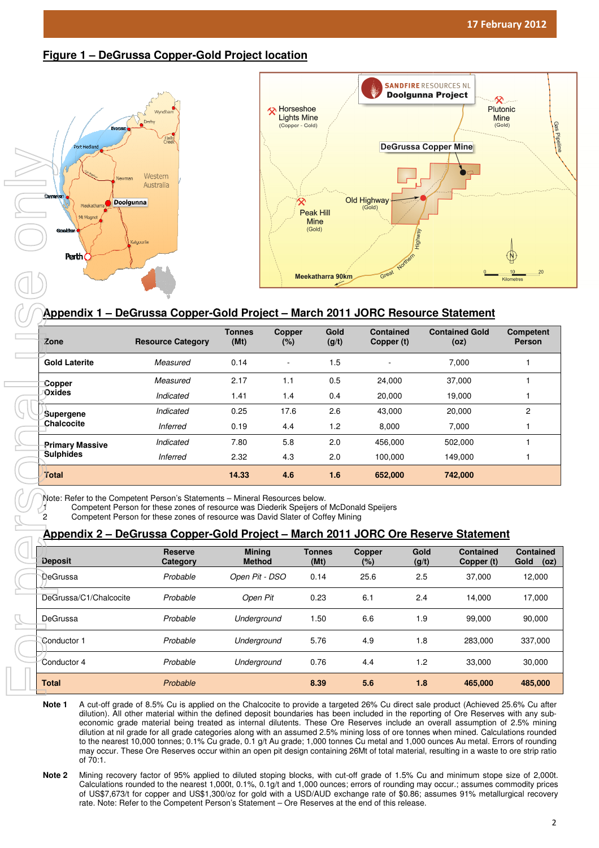**Figure 1 – DeGrussa Copper-Gold Project location**



# **Appendix 1 – DeGrussa Copper-Gold Project**

| Zone                                       | <b>Resource Category</b> | <b>Tonnes</b><br>(Mt) | <b>Copper</b><br>(%) | Gold<br>(g/t) | <b>Contained</b><br>Copper (t) | <b>Contained Gold</b><br>(oz) | <b>Competent</b><br><b>Person</b> |
|--------------------------------------------|--------------------------|-----------------------|----------------------|---------------|--------------------------------|-------------------------------|-----------------------------------|
| <b>Gold Laterite</b>                       | Measured                 | 0.14                  |                      | 1.5           | ٠                              | 7.000                         |                                   |
| Copper<br>Oxides                           | Measured                 | 2.17                  | 1.1                  | 0.5           | 24.000                         | 37.000                        |                                   |
|                                            | Indicated                | 1.41                  | 1.4                  | 0.4           | 20,000                         | 19,000                        |                                   |
| Supergene<br>Chalcocite                    | Indicated                | 0.25                  | 17.6                 | 2.6           | 43,000                         | 20,000                        | 2                                 |
|                                            | <b>Inferred</b>          | 0.19                  | 4.4                  | 1.2           | 8.000                          | 7.000                         |                                   |
| <b>Primary Massive</b><br><b>Sulphides</b> | Indicated                | 7.80                  | 5.8                  | 2.0           | 456.000                        | 502.000                       |                                   |
|                                            | <b>Inferred</b>          | 2.32                  | 4.3                  | 2.0           | 100.000                        | 149.000                       |                                   |
| Total                                      |                          | 14.33                 | 4.6                  | 1.6           | 652,000                        | 742,000                       |                                   |

Note: Refer to the Competent Person's Statements – Mineral Resources below.

1 Competent Person for these zones of resource was Diederik Speijers of McDonald Speijers

2 Competent Person for these zones of resource was David Slater of Coffey Mining

## <u> Appendix 2 – DeGrussa Copper-Gold Project – March 2011 JORC Ore Reserve Statement</u>

| <b>Deposit</b>         | <b>Reserve</b><br>Category | <b>Mining</b><br><b>Method</b> | <b>Tonnes</b><br>(Mt) | Copper<br>$(\%)$ | Gold<br>(g/t) | <b>Contained</b><br>Copper (t) | <b>Contained</b><br>Gold<br>(oz) |
|------------------------|----------------------------|--------------------------------|-----------------------|------------------|---------------|--------------------------------|----------------------------------|
| DeGrussa               | Probable                   | Open Pit - DSO                 | 0.14                  | 25.6             | 2.5           | 37.000                         | 12,000                           |
| DeGrussa/C1/Chalcocite | Probable                   | Open Pit                       | 0.23                  | 6.1              | 2.4           | 14.000                         | 17,000                           |
| DeGrussa               | Probable                   | Underground                    | 1.50                  | 6.6              | 1.9           | 99.000                         | 90,000                           |
| Conductor 1            | Probable                   | Underground                    | 5.76                  | 4.9              | 1.8           | 283.000                        | 337,000                          |
| Conductor 4            | Probable                   | Underground                    | 0.76                  | 4.4              | 1.2           | 33,000                         | 30,000                           |
| <b>Total</b>           | Probable                   |                                | 8.39                  | 5.6              | 1.8           | 465.000                        | 485,000                          |

Note 1 A cut-off grade of 8.5% Cu is applied on the Chalcocite to provide a targeted 26% Cu direct sale product (Achieved 25.6% Cu after dilution). All other material within the defined deposit boundaries has been included in the reporting of Ore Reserves with any subeconomic grade material being treated as internal dilutents. These Ore Reserves include an overall assumption of 2.5% mining dilution at nil grade for all grade categories along with an assumed 2.5% mining loss of ore tonnes when mined. Calculations rounded to the nearest 10,000 tonnes; 0.1% Cu grade, 0.1 g/t Au grade; 1,000 tonnes Cu metal and 1,000 ounces Au metal. Errors of rounding may occur. These Ore Reserves occur within an open pit design containing 26Mt of total material, resulting in a waste to ore strip ratio of 70:1. to the nearest 10,000 tonnes; 0.1% Cu grade, 0.1 g/t Au grade; 1,000 tonnes Cu metal and 1,000 ounces Au metal. Errors of rounding<br>may occur. These Ore Reserves occur within an open pit design containing 26Mt of total mate

Calculations rounded to the nearest 1,000t, 0.1%, 0.1g/t and 1,000 ounces; errors of rounding may occur.; assumes commodity prices of US\$7,673/t for copper and US\$1,300/oz for gold with a USD/AUD exchange rate of \$0.86; assumes 91% metallurgical recovery rate. Note: Refer to the Competent Person's Statement – Ore Reserves at the end of this release.